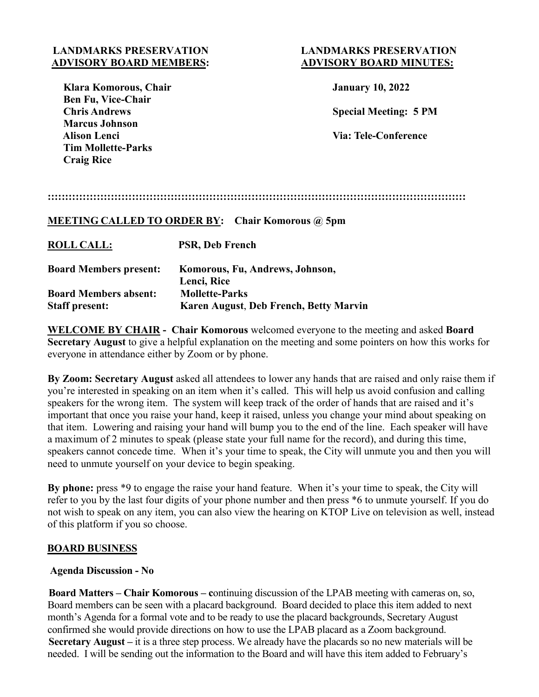## **LANDMARKS PRESERVATION LANDMARKS PRESERVATION ADVISORY BOARD MEMBERS: ADVISORY BOARD MINUTES:**

| Klara Komorous, Chair     |
|---------------------------|
| <b>Ben Fu, Vice-Chair</b> |
| <b>Chris Andrews</b>      |
| <b>Marcus Johnson</b>     |
| <b>Alison Lenci</b>       |
| <b>Tim Mollette-Parks</b> |
| <b>Craig Rice</b>         |

**January 10, 2022** 

**Special Meeting: 5 PM** 

**Via: Tele-Conference** 

## **MEETING CALLED TO ORDER BY: Chair Komorous @ 5pm**

| <b>ROLL CALL:</b>             | <b>PSR, Deb French</b>                 |
|-------------------------------|----------------------------------------|
| <b>Board Members present:</b> | Komorous, Fu, Andrews, Johnson,        |
|                               | Lenci, Rice                            |
| <b>Board Members absent:</b>  | <b>Mollette-Parks</b>                  |
| <b>Staff present:</b>         | Karen August, Deb French, Betty Marvin |

**WELCOME BY CHAIR - Chair Komorous** welcomed everyone to the meeting and asked **Board Secretary August** to give a helpful explanation on the meeting and some pointers on how this works for everyone in attendance either by Zoom or by phone.

**By Zoom: Secretary August** asked all attendees to lower any hands that are raised and only raise them if you're interested in speaking on an item when it's called. This will help us avoid confusion and calling speakers for the wrong item. The system will keep track of the order of hands that are raised and it's important that once you raise your hand, keep it raised, unless you change your mind about speaking on that item. Lowering and raising your hand will bump you to the end of the line. Each speaker will have a maximum of 2 minutes to speak (please state your full name for the record), and during this time, speakers cannot concede time. When it's your time to speak, the City will unmute you and then you will need to unmute yourself on your device to begin speaking.

**By phone:** press \*9 to engage the raise your hand feature. When it's your time to speak, the City will refer to you by the last four digits of your phone number and then press \*6 to unmute yourself. If you do not wish to speak on any item, you can also view the hearing on KTOP Live on television as well, instead of this platform if you so choose.

## **BOARD BUSINESS**

## **Agenda Discussion - No**

 **Board Matters – Chair Komorous – c**ontinuing discussion of the LPAB meeting with cameras on, so, Board members can be seen with a placard background. Board decided to place this item added to next month's Agenda for a formal vote and to be ready to use the placard backgrounds, Secretary August confirmed she would provide directions on how to use the LPAB placard as a Zoom background. **Secretary August –** it is a three step process. We already have the placards so no new materials will be needed. I will be sending out the information to the Board and will have this item added to February's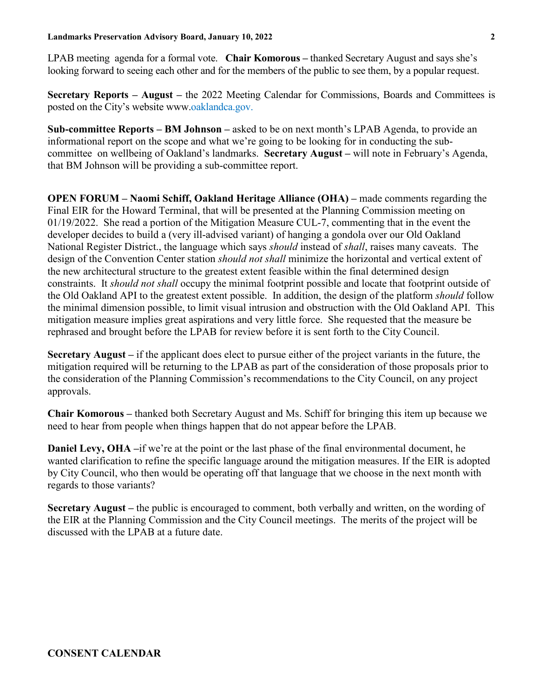LPAB meeting agenda for a formal vote. **Chair Komorous –** thanked Secretary August and says she's looking forward to seeing each other and for the members of the public to see them, by a popular request.

**Secretary Reports – August –** the 2022 Meeting Calendar for Commissions, Boards and Committees is posted on the City's website www.oaklandca.gov.

**Sub-committee Reports – BM Johnson –** asked to be on next month's LPAB Agenda, to provide an informational report on the scope and what we're going to be looking for in conducting the subcommittee on wellbeing of Oakland's landmarks. **Secretary August –** will note in February's Agenda, that BM Johnson will be providing a sub-committee report.

 **OPEN FORUM – Naomi Schiff, Oakland Heritage Alliance (OHA) –** made comments regarding the Final EIR for the Howard Terminal, that will be presented at the Planning Commission meeting on 01/19/2022. She read a portion of the Mitigation Measure CUL-7, commenting that in the event the developer decides to build a (very ill-advised variant) of hanging a gondola over our Old Oakland National Register District., the language which says *should* instead of *shall*, raises many caveats. The design of the Convention Center station *should not shall* minimize the horizontal and vertical extent of the new architectural structure to the greatest extent feasible within the final determined design constraints. It *should not shall* occupy the minimal footprint possible and locate that footprint outside of the Old Oakland API to the greatest extent possible. In addition, the design of the platform *should* follow the minimal dimension possible, to limit visual intrusion and obstruction with the Old Oakland API. This mitigation measure implies great aspirations and very little force. She requested that the measure be rephrased and brought before the LPAB for review before it is sent forth to the City Council.

 **Secretary August –** if the applicant does elect to pursue either of the project variants in the future, the mitigation required will be returning to the LPAB as part of the consideration of those proposals prior to the consideration of the Planning Commission's recommendations to the City Council, on any project approvals.

 **Chair Komorous –** thanked both Secretary August and Ms. Schiff for bringing this item up because we need to hear from people when things happen that do not appear before the LPAB.

 **Daniel Levy, OHA –**if we're at the point or the last phase of the final environmental document, he wanted clarification to refine the specific language around the mitigation measures. If the EIR is adopted by City Council, who then would be operating off that language that we choose in the next month with regards to those variants?

 **Secretary August –** the public is encouraged to comment, both verbally and written, on the wording of the EIR at the Planning Commission and the City Council meetings. The merits of the project will be discussed with the LPAB at a future date.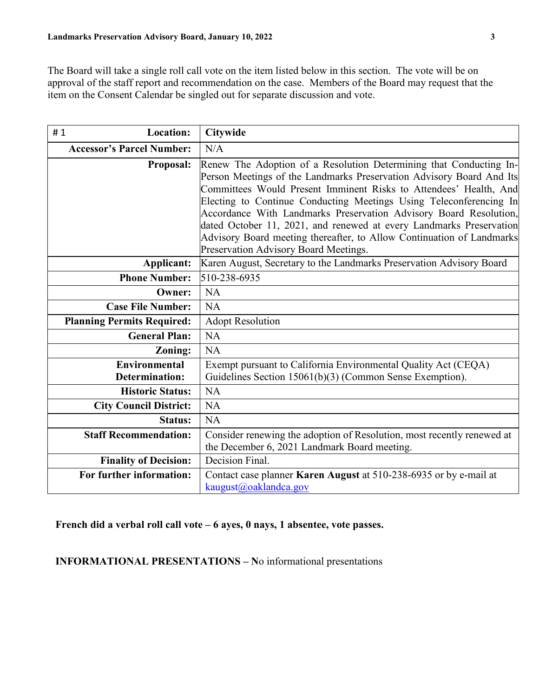The Board will take a single roll call vote on the item listed below in this section. The vote will be on approval of the staff report and recommendation on the case. Members of the Board may request that the item on the Consent Calendar be singled out for separate discussion and vote.

| <b>Location:</b><br>#1            | Citywide                                                                                                       |
|-----------------------------------|----------------------------------------------------------------------------------------------------------------|
| <b>Accessor's Parcel Number:</b>  | N/A                                                                                                            |
| <b>Proposal:</b>                  | Renew The Adoption of a Resolution Determining that Conducting In-                                             |
|                                   | Person Meetings of the Landmarks Preservation Advisory Board And Its                                           |
|                                   | Committees Would Present Imminent Risks to Attendees' Health, And                                              |
|                                   | Electing to Continue Conducting Meetings Using Teleconferencing In                                             |
|                                   | Accordance With Landmarks Preservation Advisory Board Resolution,                                              |
|                                   | dated October 11, 2021, and renewed at every Landmarks Preservation                                            |
|                                   | Advisory Board meeting thereafter, to Allow Continuation of Landmarks<br>Preservation Advisory Board Meetings. |
| Applicant:                        | Karen August, Secretary to the Landmarks Preservation Advisory Board                                           |
| <b>Phone Number:</b>              | 510-238-6935                                                                                                   |
| <b>Owner:</b>                     | <b>NA</b>                                                                                                      |
| <b>Case File Number:</b>          | NA                                                                                                             |
| <b>Planning Permits Required:</b> | <b>Adopt Resolution</b>                                                                                        |
| <b>General Plan:</b>              | <b>NA</b>                                                                                                      |
| Zoning:                           | <b>NA</b>                                                                                                      |
| <b>Environmental</b>              | Exempt pursuant to California Environmental Quality Act (CEQA)                                                 |
| <b>Determination:</b>             | Guidelines Section 15061(b)(3) (Common Sense Exemption).                                                       |
| <b>Historic Status:</b>           | <b>NA</b>                                                                                                      |
| <b>City Council District:</b>     | NA                                                                                                             |
| <b>Status:</b>                    | <b>NA</b>                                                                                                      |
| <b>Staff Recommendation:</b>      | Consider renewing the adoption of Resolution, most recently renewed at                                         |
|                                   | the December 6, 2021 Landmark Board meeting.                                                                   |
| <b>Finality of Decision:</b>      | Decision Final.                                                                                                |
| For further information:          | Contact case planner Karen August at 510-238-6935 or by e-mail at                                              |
|                                   | kaugust@oaklandca.gov                                                                                          |

 **French did a verbal roll call vote – 6 ayes, 0 nays, 1 absentee, vote passes.**

 **INFORMATIONAL PRESENTATIONS – N**o informational presentations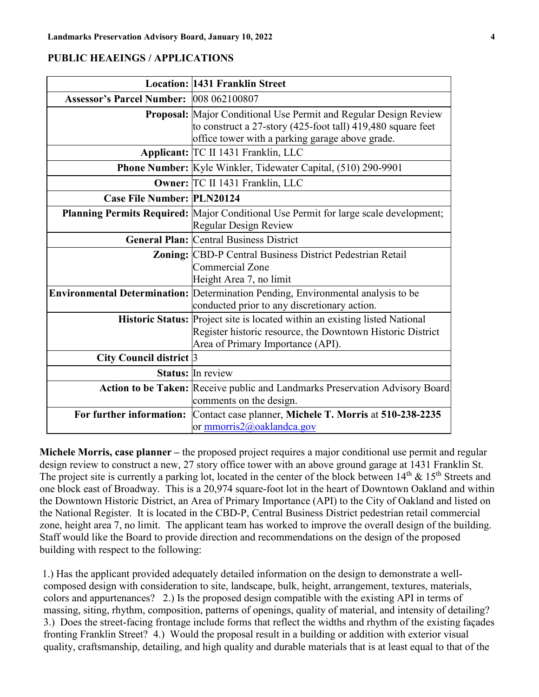### **PUBLIC HEAEINGS / APPLICATIONS**

|                                         | <b>Location: 1431 Franklin Street</b>                                                                                                                                                     |
|-----------------------------------------|-------------------------------------------------------------------------------------------------------------------------------------------------------------------------------------------|
| Assessor's Parcel Number: 008 062100807 |                                                                                                                                                                                           |
|                                         | <b>Proposal:</b> Major Conditional Use Permit and Regular Design Review<br>to construct a 27-story (425-foot tall) 419,480 square feet<br>office tower with a parking garage above grade. |
|                                         | Applicant: TC II 1431 Franklin, LLC                                                                                                                                                       |
|                                         | Phone Number: Kyle Winkler, Tidewater Capital, (510) 290-9901                                                                                                                             |
|                                         | Owner: TC II 1431 Franklin, LLC                                                                                                                                                           |
| <b>Case File Number: PLN20124</b>       |                                                                                                                                                                                           |
|                                         | Planning Permits Required: Major Conditional Use Permit for large scale development;<br><b>Regular Design Review</b>                                                                      |
|                                         | <b>General Plan: Central Business District</b>                                                                                                                                            |
|                                         | Zoning: CBD-P Central Business District Pedestrian Retail<br><b>Commercial Zone</b><br>Height Area 7, no limit                                                                            |
|                                         | Environmental Determination: Determination Pending, Environmental analysis to be<br>conducted prior to any discretionary action.                                                          |
|                                         | Historic Status: Project site is located within an existing listed National<br>Register historic resource, the Downtown Historic District<br>Area of Primary Importance (API).            |
| City Council district 3                 |                                                                                                                                                                                           |
|                                         | <b>Status:</b> In review                                                                                                                                                                  |
|                                         | Action to be Taken: Receive public and Landmarks Preservation Advisory Board<br>comments on the design.                                                                                   |
| For further information:                | Contact case planner, Michele T. Morris at 510-238-2235<br>or mmorris2@oaklandca.gov                                                                                                      |

**Michele Morris, case planner –** the proposed project requires a major conditional use permit and regular design review to construct a new, 27 story office tower with an above ground garage at 1431 Franklin St. The project site is currently a parking lot, located in the center of the block between  $14<sup>th</sup>$  &  $15<sup>th</sup>$  Streets and one block east of Broadway. This is a 20,974 square-foot lot in the heart of Downtown Oakland and within the Downtown Historic District, an Area of Primary Importance (API) to the City of Oakland and listed on the National Register. It is located in the CBD-P, Central Business District pedestrian retail commercial zone, height area 7, no limit. The applicant team has worked to improve the overall design of the building. Staff would like the Board to provide direction and recommendations on the design of the proposed building with respect to the following:

 1.) Has the applicant provided adequately detailed information on the design to demonstrate a wellcomposed design with consideration to site, landscape, bulk, height, arrangement, textures, materials, colors and appurtenances? 2.) Is the proposed design compatible with the existing API in terms of massing, siting, rhythm, composition, patterns of openings, quality of material, and intensity of detailing? 3.) Does the street-facing frontage include forms that reflect the widths and rhythm of the existing façades fronting Franklin Street? 4.) Would the proposal result in a building or addition with exterior visual quality, craftsmanship, detailing, and high quality and durable materials that is at least equal to that of the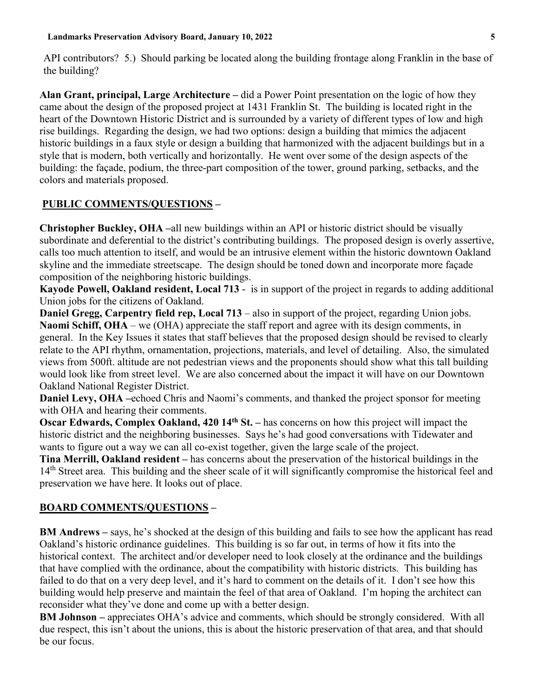API contributors? 5.) Should parking be located along the building frontage along Franklin in the base of the building?

**Alan Grant, principal, Large Architecture –** did a Power Point presentation on the logic of how they came about the design of the proposed project at 1431 Franklin St. The building is located right in the heart of the Downtown Historic District and is surrounded by a variety of different types of low and high rise buildings. Regarding the design, we had two options: design a building that mimics the adjacent historic buildings in a faux style or design a building that harmonized with the adjacent buildings but in a style that is modern, both vertically and horizontally. He went over some of the design aspects of the building: the façade, podium, the three-part composition of the tower, ground parking, setbacks, and the colors and materials proposed.

# **PUBLIC COMMENTS/QUESTIONS –**

**Christopher Buckley, OHA –**all new buildings within an API or historic district should be visually subordinate and deferential to the district's contributing buildings. The proposed design is overly assertive, calls too much attention to itself, and would be an intrusive element within the historic downtown Oakland skyline and the immediate streetscape. The design should be toned down and incorporate more façade composition of the neighboring historic buildings.

**Kayode Powell, Oakland resident, Local 713** - is in support of the project in regards to adding additional Union jobs for the citizens of Oakland.

**Daniel Gregg, Carpentry field rep, Local 713** – also in support of the project, regarding Union jobs. **Naomi Schiff, OHA** – we (OHA) appreciate the staff report and agree with its design comments, in general. In the Key Issues it states that staff believes that the proposed design should be revised to clearly relate to the API rhythm, ornamentation, projections, materials, and level of detailing. Also, the simulated views from 500ft. altitude are not pedestrian views and the proponents should show what this tall building would look like from street level. We are also concerned about the impact it will have on our Downtown Oakland National Register District.

**Daniel Levy, OHA –**echoed Chris and Naomi's comments, and thanked the project sponsor for meeting with OHA and hearing their comments.

**Oscar Edwards, Complex Oakland, 420 14<sup>th</sup> St.** – has concerns on how this project will impact the historic district and the neighboring businesses. Says he's had good conversations with Tidewater and wants to figure out a way we can all co-exist together, given the large scale of the project.

**Tina Merrill, Oakland resident –** has concerns about the preservation of the historical buildings in the 14<sup>th</sup> Street area. This building and the sheer scale of it will significantly compromise the historical feel and preservation we have here. It looks out of place.

## **BOARD COMMENTS/QUESTIONS –**

**BM Andrews –** says, he's shocked at the design of this building and fails to see how the applicant has read Oakland's historic ordinance guidelines. This building is so far out, in terms of how it fits into the historical context. The architect and/or developer need to look closely at the ordinance and the buildings that have complied with the ordinance, about the compatibility with historic districts. This building has failed to do that on a very deep level, and it's hard to comment on the details of it. I don't see how this building would help preserve and maintain the feel of that area of Oakland. I'm hoping the architect can reconsider what they've done and come up with a better design.

**BM Johnson –** appreciates OHA's advice and comments, which should be strongly considered. With all due respect, this isn't about the unions, this is about the historic preservation of that area, and that should be our focus.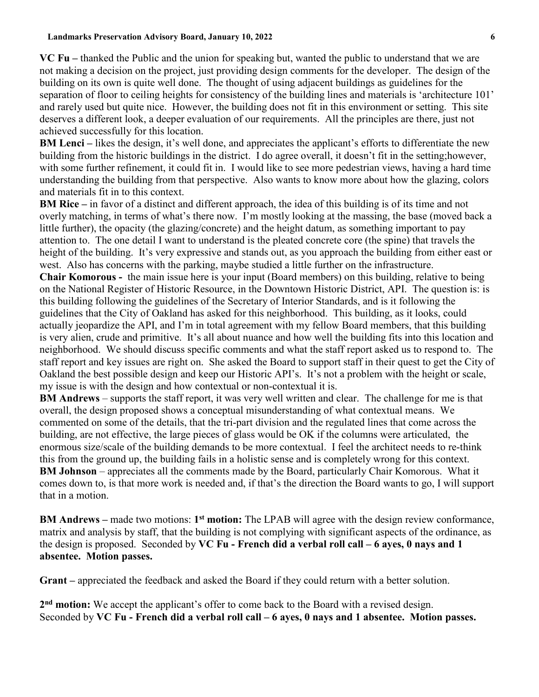**VC Fu –** thanked the Public and the union for speaking but, wanted the public to understand that we are not making a decision on the project, just providing design comments for the developer. The design of the building on its own is quite well done. The thought of using adjacent buildings as guidelines for the separation of floor to ceiling heights for consistency of the building lines and materials is 'architecture 101' and rarely used but quite nice. However, the building does not fit in this environment or setting. This site deserves a different look, a deeper evaluation of our requirements. All the principles are there, just not achieved successfully for this location.

**BM Lenci** – likes the design, it's well done, and appreciates the applicant's efforts to differentiate the new building from the historic buildings in the district. I do agree overall, it doesn't fit in the setting;however, with some further refinement, it could fit in. I would like to see more pedestrian views, having a hard time understanding the building from that perspective. Also wants to know more about how the glazing, colors and materials fit in to this context.

**BM Rice –** in favor of a distinct and different approach, the idea of this building is of its time and not overly matching, in terms of what's there now. I'm mostly looking at the massing, the base (moved back a little further), the opacity (the glazing/concrete) and the height datum, as something important to pay attention to. The one detail I want to understand is the pleated concrete core (the spine) that travels the height of the building. It's very expressive and stands out, as you approach the building from either east or west. Also has concerns with the parking, maybe studied a little further on the infrastructure.

**Chair Komorous -** the main issue here is your input (Board members) on this building, relative to being on the National Register of Historic Resource, in the Downtown Historic District, API. The question is: is this building following the guidelines of the Secretary of Interior Standards, and is it following the guidelines that the City of Oakland has asked for this neighborhood. This building, as it looks, could actually jeopardize the API, and I'm in total agreement with my fellow Board members, that this building is very alien, crude and primitive. It's all about nuance and how well the building fits into this location and neighborhood. We should discuss specific comments and what the staff report asked us to respond to. The staff report and key issues are right on. She asked the Board to support staff in their quest to get the City of Oakland the best possible design and keep our Historic API's. It's not a problem with the height or scale, my issue is with the design and how contextual or non-contextual it is.

**BM Andrews** – supports the staff report, it was very well written and clear. The challenge for me is that overall, the design proposed shows a conceptual misunderstanding of what contextual means. We commented on some of the details, that the tri-part division and the regulated lines that come across the building, are not effective, the large pieces of glass would be OK if the columns were articulated, the enormous size/scale of the building demands to be more contextual. I feel the architect needs to re-think this from the ground up, the building fails in a holistic sense and is completely wrong for this context. **BM Johnson** – appreciates all the comments made by the Board, particularly Chair Komorous. What it comes down to, is that more work is needed and, if that's the direction the Board wants to go, I will support that in a motion.

**BM Andrews –** made two motions: **1st motion:** The LPAB will agree with the design review conformance, matrix and analysis by staff, that the building is not complying with significant aspects of the ordinance, as the design is proposed. Seconded by **VC Fu - French did a verbal roll call – 6 ayes, 0 nays and 1 absentee. Motion passes.** 

**Grant –** appreciated the feedback and asked the Board if they could return with a better solution.

**2nd motion:** We accept the applicant's offer to come back to the Board with a revised design. Seconded by **VC Fu - French did a verbal roll call – 6 ayes, 0 nays and 1 absentee. Motion passes.**